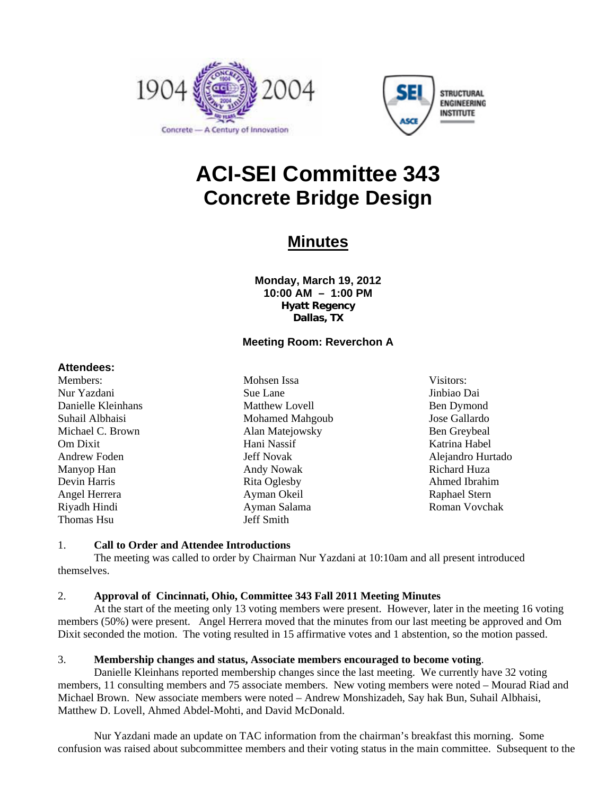



## **ACI-SEI Committee 343 Concrete Bridge Design**

## **Minutes**

**Monday, March 19, 2012 10:00 AM – 1:00 PM Hyatt Regency Dallas, TX** 

### **Meeting Room: Reverchon A**

#### **Attendees:**

Members: Nur Yazdani Danielle Kleinhans Suhail Albhaisi Michael C. Brown Om Dixit Andrew Foden Manyop Han Devin Harris Angel Herrera Riyadh Hindi Thomas Hsu

Mohsen Issa Sue Lane Matthew Lovell Mohamed Mahgoub Alan Matejowsky Hani Nassif Jeff Novak Andy Nowak Rita Oglesby Ayman Okeil Ayman Salama Jeff Smith

Visitors: Jinbiao Dai Ben Dymond Jose Gallardo Ben Greybeal Katrina Habel Alejandro Hurtado Richard Huza Ahmed Ibrahim Raphael Stern Roman Vovchak

#### 1. **Call to Order and Attendee Introductions**

The meeting was called to order by Chairman Nur Yazdani at 10:10am and all present introduced themselves.

#### 2. **Approval of Cincinnati, Ohio, Committee 343 Fall 2011 Meeting Minutes**

At the start of the meeting only 13 voting members were present. However, later in the meeting 16 voting members (50%) were present. Angel Herrera moved that the minutes from our last meeting be approved and Om Dixit seconded the motion. The voting resulted in 15 affirmative votes and 1 abstention, so the motion passed.

#### 3. **Membership changes and status, Associate members encouraged to become voting**.

Danielle Kleinhans reported membership changes since the last meeting. We currently have 32 voting members, 11 consulting members and 75 associate members. New voting members were noted – Mourad Riad and Michael Brown. New associate members were noted – Andrew Monshizadeh, Say hak Bun, Suhail Albhaisi, Matthew D. Lovell, Ahmed Abdel-Mohti, and David McDonald.

Nur Yazdani made an update on TAC information from the chairman's breakfast this morning. Some confusion was raised about subcommittee members and their voting status in the main committee. Subsequent to the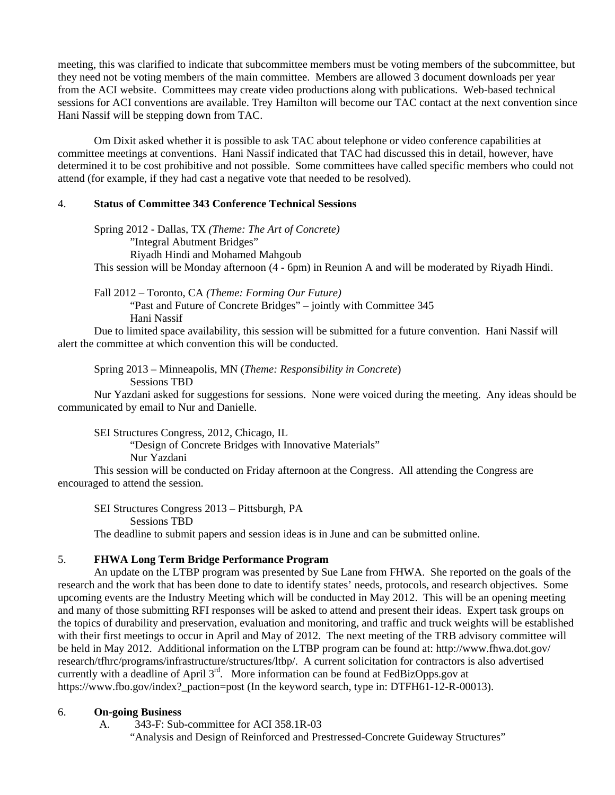meeting, this was clarified to indicate that subcommittee members must be voting members of the subcommittee, but they need not be voting members of the main committee. Members are allowed 3 document downloads per year from the ACI website. Committees may create video productions along with publications. Web-based technical sessions for ACI conventions are available. Trey Hamilton will become our TAC contact at the next convention since Hani Nassif will be stepping down from TAC.

Om Dixit asked whether it is possible to ask TAC about telephone or video conference capabilities at committee meetings at conventions. Hani Nassif indicated that TAC had discussed this in detail, however, have determined it to be cost prohibitive and not possible. Some committees have called specific members who could not attend (for example, if they had cast a negative vote that needed to be resolved).

#### 4. **Status of Committee 343 Conference Technical Sessions**

 Spring 2012 - Dallas, TX *(Theme: The Art of Concrete)* "Integral Abutment Bridges" Riyadh Hindi and Mohamed Mahgoub This session will be Monday afternoon (4 - 6pm) in Reunion A and will be moderated by Riyadh Hindi.

 Fall 2012 – Toronto, CA *(Theme: Forming Our Future)*  "Past and Future of Concrete Bridges" – jointly with Committee 345 Hani Nassif

 Due to limited space availability, this session will be submitted for a future convention. Hani Nassif will alert the committee at which convention this will be conducted.

 Spring 2013 – Minneapolis, MN (*Theme: Responsibility in Concrete*) Sessions TBD

 Nur Yazdani asked for suggestions for sessions. None were voiced during the meeting. Any ideas should be communicated by email to Nur and Danielle.

 SEI Structures Congress, 2012, Chicago, IL "Design of Concrete Bridges with Innovative Materials" Nur Yazdani

 This session will be conducted on Friday afternoon at the Congress. All attending the Congress are encouraged to attend the session.

 SEI Structures Congress 2013 – Pittsburgh, PA Sessions TBD The deadline to submit papers and session ideas is in June and can be submitted online.

### 5. **FHWA Long Term Bridge Performance Program**

An update on the LTBP program was presented by Sue Lane from FHWA. She reported on the goals of the research and the work that has been done to date to identify states' needs, protocols, and research objectives. Some upcoming events are the Industry Meeting which will be conducted in May 2012. This will be an opening meeting and many of those submitting RFI responses will be asked to attend and present their ideas. Expert task groups on the topics of durability and preservation, evaluation and monitoring, and traffic and truck weights will be established with their first meetings to occur in April and May of 2012. The next meeting of the TRB advisory committee will be held in May 2012. Additional information on the LTBP program can be found at: http://www.fhwa.dot.gov/ research/tfhrc/programs/infrastructure/structures/ltbp/. A current solicitation for contractors is also advertised currently with a deadline of April 3<sup>rd</sup>. More information can be found at FedBizOpps.gov at https://www.fbo.gov/index?\_paction=post (In the keyword search, type in: DTFH61-12-R-00013).

#### 6. **On-going Business**

A. 343-F: Sub-committee for ACI 358.1R-03

"Analysis and Design of Reinforced and Prestressed-Concrete Guideway Structures"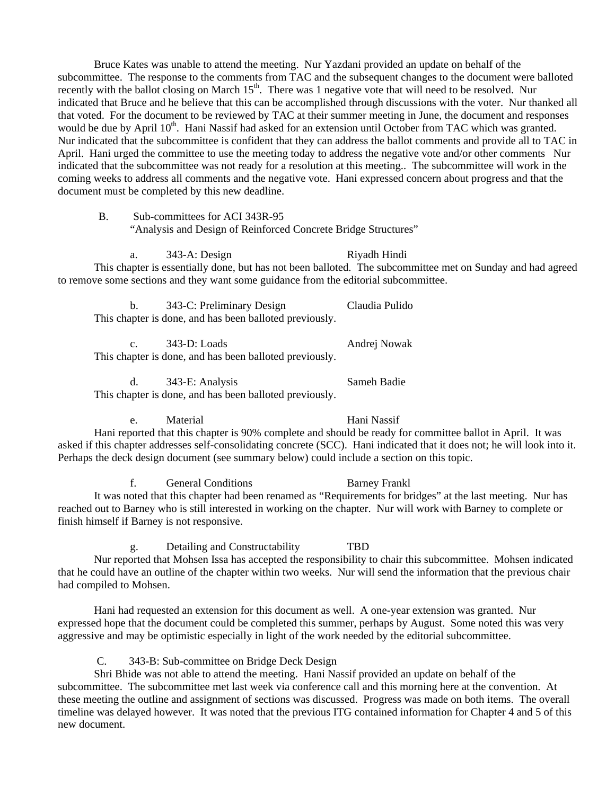Bruce Kates was unable to attend the meeting. Nur Yazdani provided an update on behalf of the subcommittee. The response to the comments from TAC and the subsequent changes to the document were balloted recently with the ballot closing on March  $15<sup>th</sup>$ . There was 1 negative vote that will need to be resolved. Nur indicated that Bruce and he believe that this can be accomplished through discussions with the voter. Nur thanked all that voted. For the document to be reviewed by TAC at their summer meeting in June, the document and responses would be due by April 10<sup>th</sup>. Hani Nassif had asked for an extension until October from TAC which was granted. Nur indicated that the subcommittee is confident that they can address the ballot comments and provide all to TAC in April. Hani urged the committee to use the meeting today to address the negative vote and/or other comments Nur indicated that the subcommittee was not ready for a resolution at this meeting.. The subcommittee will work in the coming weeks to address all comments and the negative vote. Hani expressed concern about progress and that the document must be completed by this new deadline.

B. Sub-committees for ACI 343R-95

"Analysis and Design of Reinforced Concrete Bridge Structures"

a. 343-A: Design Riyadh Hindi This chapter is essentially done, but has not been balloted. The subcommittee met on Sunday and had agreed to remove some sections and they want some guidance from the editorial subcommittee.

b. 343-C: Preliminary Design Claudia Pulido This chapter is done, and has been balloted previously.

c. 343-D: Loads Andrej Nowak This chapter is done, and has been balloted previously.

d. 343-E: Analysis Sameh Badie This chapter is done, and has been balloted previously.

e. Material Hani Nassif

 Hani reported that this chapter is 90% complete and should be ready for committee ballot in April. It was asked if this chapter addresses self-consolidating concrete (SCC). Hani indicated that it does not; he will look into it. Perhaps the deck design document (see summary below) could include a section on this topic.

f. General Conditions Barney Frankl

It was noted that this chapter had been renamed as "Requirements for bridges" at the last meeting. Nur has reached out to Barney who is still interested in working on the chapter. Nur will work with Barney to complete or finish himself if Barney is not responsive.

g. Detailing and Constructability TBD Nur reported that Mohsen Issa has accepted the responsibility to chair this subcommittee. Mohsen indicated that he could have an outline of the chapter within two weeks. Nur will send the information that the previous chair had compiled to Mohsen.

Hani had requested an extension for this document as well. A one-year extension was granted. Nur expressed hope that the document could be completed this summer, perhaps by August. Some noted this was very aggressive and may be optimistic especially in light of the work needed by the editorial subcommittee.

C. 343-B: Sub-committee on Bridge Deck Design

Shri Bhide was not able to attend the meeting. Hani Nassif provided an update on behalf of the subcommittee. The subcommittee met last week via conference call and this morning here at the convention. At these meeting the outline and assignment of sections was discussed. Progress was made on both items. The overall timeline was delayed however. It was noted that the previous ITG contained information for Chapter 4 and 5 of this new document.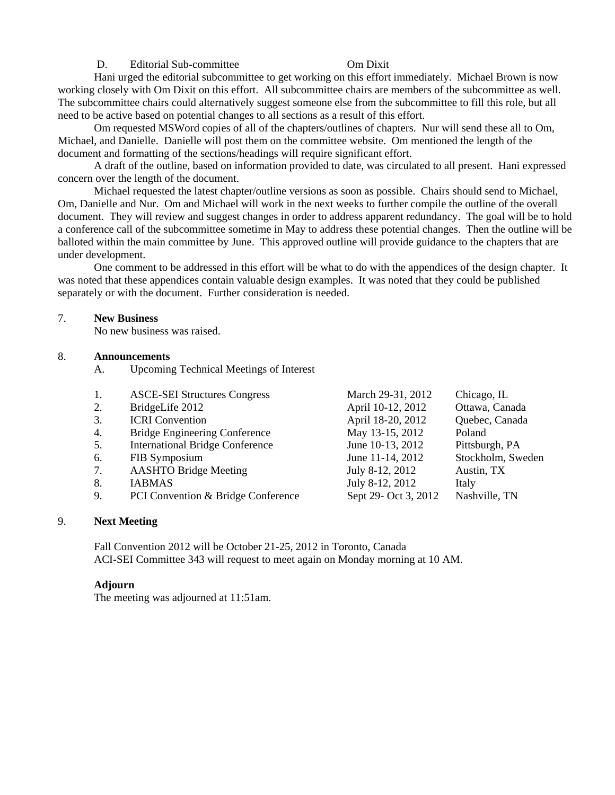#### D. Editorial Sub-committee **Committee** Om Dixit

Hani urged the editorial subcommittee to get working on this effort immediately. Michael Brown is now working closely with Om Dixit on this effort. All subcommittee chairs are members of the subcommittee as well. The subcommittee chairs could alternatively suggest someone else from the subcommittee to fill this role, but all need to be active based on potential changes to all sections as a result of this effort.

Om requested MSWord copies of all of the chapters/outlines of chapters. Nur will send these all to Om, Michael, and Danielle. Danielle will post them on the committee website. Om mentioned the length of the document and formatting of the sections/headings will require significant effort.

A draft of the outline, based on information provided to date, was circulated to all present. Hani expressed concern over the length of the document.

Michael requested the latest chapter/outline versions as soon as possible. Chairs should send to Michael, Om, Danielle and Nur. Om and Michael will work in the next weeks to further compile the outline of the overall document. They will review and suggest changes in order to address apparent redundancy. The goal will be to hold a conference call of the subcommittee sometime in May to address these potential changes. Then the outline will be balloted within the main committee by June. This approved outline will provide guidance to the chapters that are under development.

One comment to be addressed in this effort will be what to do with the appendices of the design chapter. It was noted that these appendices contain valuable design examples. It was noted that they could be published separately or with the document. Further consideration is needed.

#### 7. **New Business**

No new business was raised.

#### 8. **Announcements**

A. Upcoming Technical Meetings of Interest

| 1. | <b>ASCE-SEI Structures Congress</b>    | March 29-31, 2012    | Chicago, IL       |
|----|----------------------------------------|----------------------|-------------------|
| 2. | BridgeLife 2012                        | April 10-12, 2012    | Ottawa, Canada    |
| 3. | <b>ICRI</b> Convention                 | April 18-20, 2012    | Quebec, Canada    |
| 4. | <b>Bridge Engineering Conference</b>   | May 13-15, 2012      | Poland            |
| 5. | <b>International Bridge Conference</b> | June 10-13, 2012     | Pittsburgh, PA    |
| 6. | FIB Symposium                          | June 11-14, 2012     | Stockholm, Sweden |
| 7. | <b>AASHTO Bridge Meeting</b>           | July 8-12, 2012      | Austin, TX        |
| 8. | <b>IABMAS</b>                          | July 8-12, 2012      | Italy             |
| 9. | PCI Convention & Bridge Conference     | Sept 29- Oct 3, 2012 | Nashville, TN     |
|    |                                        |                      |                   |

#### 9. **Next Meeting**

 Fall Convention 2012 will be October 21-25, 2012 in Toronto, Canada ACI-SEI Committee 343 will request to meet again on Monday morning at 10 AM.

#### **Adjourn**

The meeting was adjourned at 11:51am.